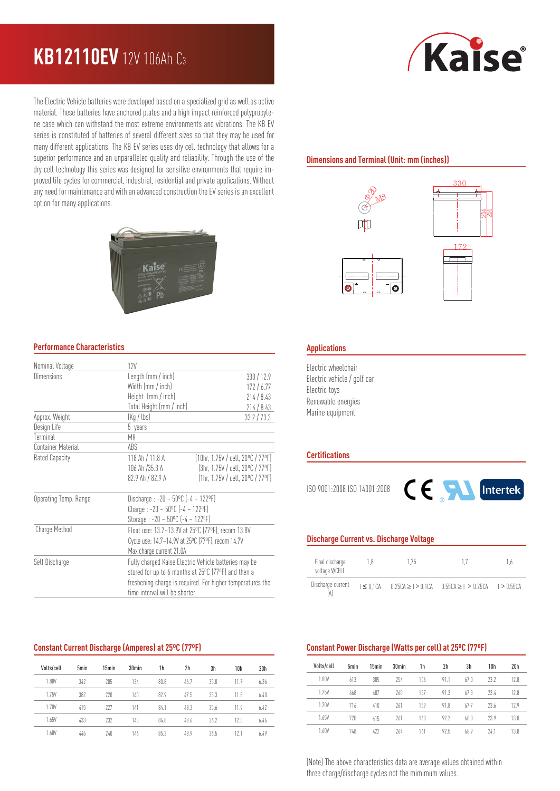## **KB12110EV** 12V 106Ah C<sup>3</sup>

The Electric Vehicle batteries were developed based on a specialized grid as well as active material. These batteries have anchored plates and a high impact reinforced polypropylene case which can withstand the most extreme environments and vibrations. The KB EV series is constituted of batteries of several different sizes so that they may be used for many different applications. The KB EV series uses dry cell technology that allows for a superior performance and an unparalleled quality and reliability. Through the use of the dry cell technology this series was designed for sensitive environments that require improved life cycles for commercial, industrial, residential and private applications. Without any need for maintenance and with an advanced construction the EV series is an excellent option for many applications.



#### **Performance Characteristics**

| Nominal Voltage       | 12V                                                   |                                                            |  |  |  |  |
|-----------------------|-------------------------------------------------------|------------------------------------------------------------|--|--|--|--|
| Dimensions            | Length (mm / inch)                                    | 330/12.9                                                   |  |  |  |  |
|                       | Width (mm / inch)                                     | 172/6.77                                                   |  |  |  |  |
|                       | Height (mm / inch)                                    | 214/8.43                                                   |  |  |  |  |
|                       | Total Height (mm / inch)                              | 214/8.43                                                   |  |  |  |  |
| Approx. Weight        | (Kg / lbs)                                            | 33.2 / 73.3                                                |  |  |  |  |
| Design Life           | 5 years                                               |                                                            |  |  |  |  |
| Terminal              | M8                                                    |                                                            |  |  |  |  |
| Container Material    | ABS                                                   |                                                            |  |  |  |  |
| Rated Capacity        | 118 Ah / 11.8 A                                       | [10hr, 1.75V / cell, 20°C / 77°F]                          |  |  |  |  |
|                       | 106 Ah /35.3 A                                        | (3hr. 1.75V / cell. 20°C / 77°F)                           |  |  |  |  |
|                       | 82.9 Ah / 82.9 A                                      | (1hr. 1.75V / cell. 20°C / 77°F)                           |  |  |  |  |
| Operating Temp. Range | Discharge : -20 ~ $50^{\circ}$ C (-4 ~ 122°F)         |                                                            |  |  |  |  |
|                       |                                                       | Charge: $-20 \sim 50^{\circ}$ C ( $-4 \sim 122^{\circ}$ F) |  |  |  |  |
|                       |                                                       | Storage : -20 ~ $50^{\circ}$ C (-4 ~ 122°F)                |  |  |  |  |
| Charge Method         |                                                       | Float use: 13.7~13.9V at 25°C (77°F), recom 13.8V          |  |  |  |  |
|                       |                                                       | Cycle use: 14.7~14.9V at 25°C (77°F), recom 14.7V          |  |  |  |  |
|                       | Max charge current 21.0A                              |                                                            |  |  |  |  |
| Self Discharge        | Fully charged Kaise Electric Vehicle batteries may be |                                                            |  |  |  |  |
|                       | stored for up to 6 months at 25°C (77°F) and then a   |                                                            |  |  |  |  |
|                       |                                                       | freshening charge is required. For higher temperatures the |  |  |  |  |
|                       | time interval will be shorter.                        |                                                            |  |  |  |  |

#### **Constant Current Discharge (Amperes) at 25ºC (77ºF)**

| Volts/cell | 5 <sub>min</sub> | 15min | 30 <sub>min</sub> | 1h   | 2h   | 3h   | 10h  | 20 <sub>h</sub> |
|------------|------------------|-------|-------------------|------|------|------|------|-----------------|
| 1.80V      | 347              | 205   | 134               | 80.8 | 46.7 | 35.0 | 11.7 | 6.36            |
| 1.75V      | 382              | 220   | 140               | 82.9 | 47.5 | 35.3 | 11.8 | 6.40            |
| 1.70V      | 415              | 227   | 141               | 84.1 | 48.3 | 35.6 | 11.9 | 6.42            |
| 1.65V      | 433              | 232   | 143               | 84.8 | 48.6 | 36.2 | 12.0 | 6.46            |
| 1.60V      | 446              | 240   | 146               | 85.3 | 48.9 | 36.5 | 12.1 | 6.49            |

# *Kaise*

#### **Dimensions and Terminal (Unit: mm (inches))**



#### **Applications**

Electric wheelchair Electric vehicle / golf car Electric toys Renewable energies Marine equipment

#### **Certifications**

ISO 9001:2008 ISO 14001:2008



#### **Discharge Current vs. Discharge Voltage**

| Final discharge<br>voltage V/CELL | 18 | 175 |                                                                                 | 1.6 |
|-----------------------------------|----|-----|---------------------------------------------------------------------------------|-----|
| Discharge current                 |    |     | $1 \le 0.1$ CA $0.25$ CA $> 1 > 0.1$ CA $0.55$ CA $> 1 > 0.25$ CA $1 > 0.55$ CA |     |

#### **Constant Power Discharge (Watts per cell) at 25ºC (77ºF)**

| Volts/cell | 5 <sub>min</sub> | 15min | 30 <sub>min</sub> | 1h  | 2h   | 3h   | 10 <sub>h</sub> | 20 <sub>h</sub> |
|------------|------------------|-------|-------------------|-----|------|------|-----------------|-----------------|
| 1.80V      | 613              | 385   | 254               | 156 | 91.1 | 67.0 | 73.7            | 128             |
| 1.75V      | 668              | 407   | 260               | 157 | 91.3 | 673  | 734             | 128             |
| 1.70V      | 716              | 410   | 261               | 159 | 91.8 | 67.7 | 73.6            | 129             |
| 1.65V      | 720              | 415   | 261               | 160 | 922  | 68.0 | 23.9            | 13.0            |
| 1.60V      | 748              | 477   | 264               | 161 | 975  | 689  | 741             | 13.0            |

(Note) The above characteristics data are average values obtained within three charge/discharge cycles not the mimimum values.